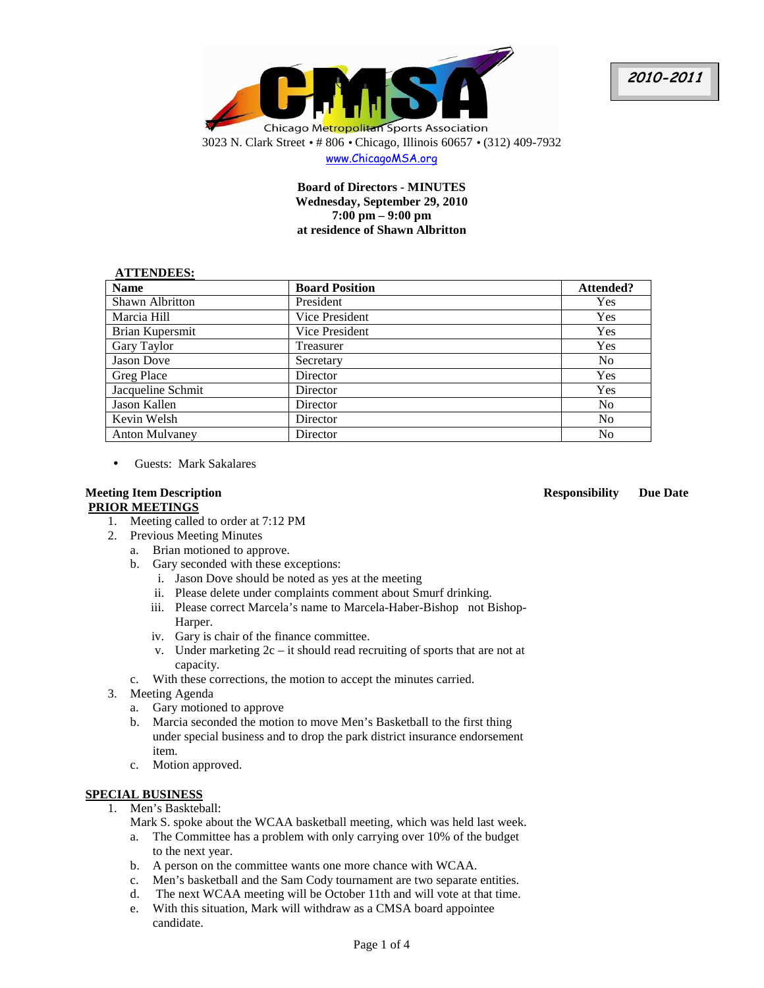**2010-2011** 



www.ChicagoMSA.org

# **Board of Directors - MINUTES Wednesday, September 29, 2010 7:00 pm – 9:00 pm at residence of Shawn Albritton**

# **ATTENDEES:**

| <b>Name</b>           | <b>Board Position</b> | Attended?      |
|-----------------------|-----------------------|----------------|
| Shawn Albritton       | President             | <b>Yes</b>     |
| Marcia Hill           | Vice President        | Yes            |
| Brian Kupersmit       | Vice President        | Yes            |
| Gary Taylor           | Treasurer             | Yes            |
| <b>Jason Dove</b>     | Secretary             | N <sub>0</sub> |
| Greg Place            | Director              | Yes            |
| Jacqueline Schmit     | Director              | <b>Yes</b>     |
| Jason Kallen          | Director              | N <sub>0</sub> |
| Kevin Welsh           | Director              | N <sub>0</sub> |
| <b>Anton Mulvaney</b> | Director              | N <sub>0</sub> |

• Guests: Mark Sakalares

# **PRIOR MEETINGS**

- 1. Meeting called to order at 7:12 PM
- 2. Previous Meeting Minutes
	- a. Brian motioned to approve.
	- b. Gary seconded with these exceptions:
		- i. Jason Dove should be noted as yes at the meeting
		- ii. Please delete under complaints comment about Smurf drinking.
		- iii. Please correct Marcela's name to Marcela-Haber-Bishop not Bishop-Harper.
		- iv. Gary is chair of the finance committee.
		- v. Under marketing  $2c it$  should read recruiting of sports that are not at capacity.
	- c. With these corrections, the motion to accept the minutes carried.
- 3. Meeting Agenda
	- a. Gary motioned to approve
	- b. Marcia seconded the motion to move Men's Basketball to the first thing under special business and to drop the park district insurance endorsement item.
	- c. Motion approved.

# **SPECIAL BUSINESS**

- 1. Men's Baskteball:
	- Mark S. spoke about the WCAA basketball meeting, which was held last week.
	- a. The Committee has a problem with only carrying over 10% of the budget to the next year.
	- b. A person on the committee wants one more chance with WCAA.
	- c. Men's basketball and the Sam Cody tournament are two separate entities.
	- d. The next WCAA meeting will be October 11th and will vote at that time.
	- e. With this situation, Mark will withdraw as a CMSA board appointee candidate.

# **Meeting Item Description Responsibility Due Date**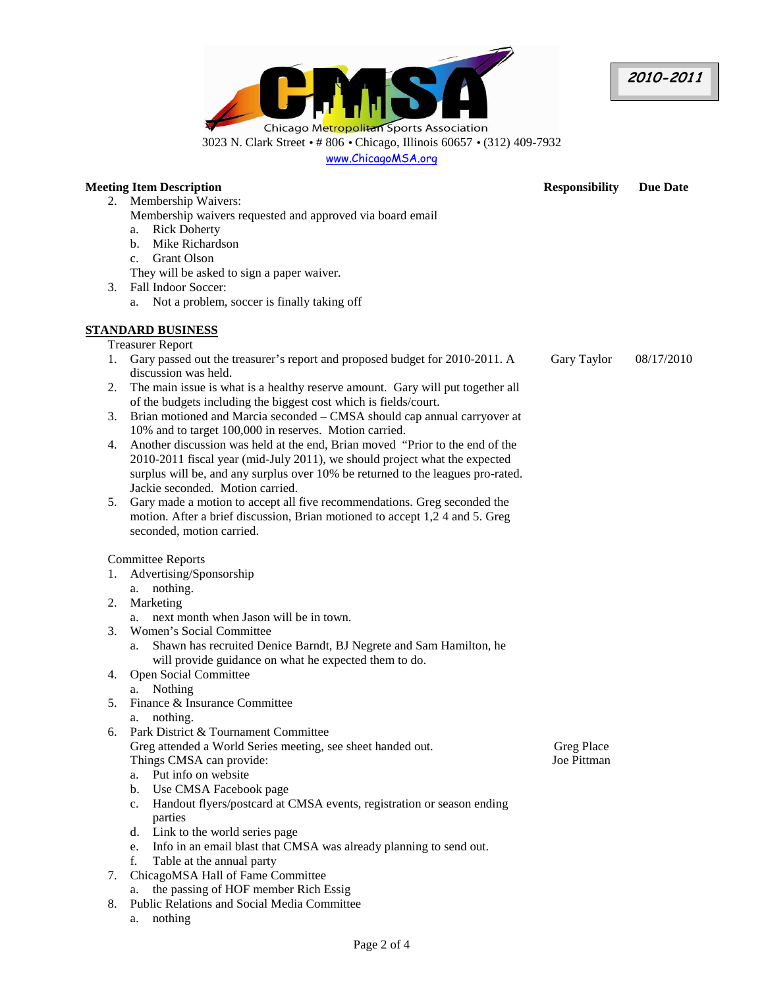



www.ChicagoMSA.org

|    | <b>Meeting Item Description</b>                                                                             | <b>Responsibility</b> | <b>Due Date</b> |
|----|-------------------------------------------------------------------------------------------------------------|-----------------------|-----------------|
| 2. | Membership Waivers:                                                                                         |                       |                 |
|    | Membership waivers requested and approved via board email                                                   |                       |                 |
|    | a. Rick Doherty                                                                                             |                       |                 |
|    | Mike Richardson<br>b.                                                                                       |                       |                 |
|    | <b>Grant Olson</b><br>$c_{\cdot}$                                                                           |                       |                 |
|    | They will be asked to sign a paper waiver.                                                                  |                       |                 |
| 3. | Fall Indoor Soccer:                                                                                         |                       |                 |
|    | Not a problem, soccer is finally taking off<br>a.                                                           |                       |                 |
|    |                                                                                                             |                       |                 |
|    | <b>STANDARD BUSINESS</b>                                                                                    |                       |                 |
|    | <b>Treasurer Report</b>                                                                                     |                       |                 |
| 1. | Gary passed out the treasurer's report and proposed budget for 2010-2011. A                                 | Gary Taylor           | 08/17/2010      |
|    | discussion was held.                                                                                        |                       |                 |
| 2. | The main issue is what is a healthy reserve amount. Gary will put together all                              |                       |                 |
|    | of the budgets including the biggest cost which is fields/court.                                            |                       |                 |
| 3. | Brian motioned and Marcia seconded - CMSA should cap annual carryover at                                    |                       |                 |
|    | 10% and to target 100,000 in reserves. Motion carried.                                                      |                       |                 |
| 4. | Another discussion was held at the end, Brian moved "Prior to the end of the                                |                       |                 |
|    | 2010-2011 fiscal year (mid-July 2011), we should project what the expected                                  |                       |                 |
|    | surplus will be, and any surplus over 10% be returned to the leagues pro-rated.                             |                       |                 |
|    | Jackie seconded. Motion carried.                                                                            |                       |                 |
| 5. | Gary made a motion to accept all five recommendations. Greg seconded the                                    |                       |                 |
|    | motion. After a brief discussion, Brian motioned to accept 1,2 4 and 5. Greg                                |                       |                 |
|    | seconded, motion carried.                                                                                   |                       |                 |
|    | <b>Committee Reports</b>                                                                                    |                       |                 |
|    | 1. Advertising/Sponsorship                                                                                  |                       |                 |
|    | a. nothing.                                                                                                 |                       |                 |
| 2. | Marketing                                                                                                   |                       |                 |
|    | next month when Jason will be in town.<br>a.                                                                |                       |                 |
| 3. | Women's Social Committee                                                                                    |                       |                 |
|    | Shawn has recruited Denice Barndt, BJ Negrete and Sam Hamilton, he<br>a.                                    |                       |                 |
|    | will provide guidance on what he expected them to do.                                                       |                       |                 |
| 4. | Open Social Committee                                                                                       |                       |                 |
|    | Nothing                                                                                                     |                       |                 |
| 5. | a.<br>Finance & Insurance Committee                                                                         |                       |                 |
|    | nothing.                                                                                                    |                       |                 |
| 6. | a.<br>Park District & Tournament Committee                                                                  |                       |                 |
|    | Greg attended a World Series meeting, see sheet handed out.                                                 | <b>Greg Place</b>     |                 |
|    | Things CMSA can provide:                                                                                    | Joe Pittman           |                 |
|    | Put info on website<br>a.                                                                                   |                       |                 |
|    | Use CMSA Facebook page<br>$\mathbf{b}$ .                                                                    |                       |                 |
|    | Handout flyers/postcard at CMSA events, registration or season ending                                       |                       |                 |
|    | c.                                                                                                          |                       |                 |
|    | parties<br>d. Link to the world series page                                                                 |                       |                 |
|    |                                                                                                             |                       |                 |
|    | Info in an email blast that CMSA was already planning to send out.<br>e.<br>f.<br>Table at the annual party |                       |                 |
| 7. | ChicagoMSA Hall of Fame Committee                                                                           |                       |                 |
|    | the passing of HOF member Rich Essig                                                                        |                       |                 |
| 8. | a.<br>Public Relations and Social Media Committee                                                           |                       |                 |
|    |                                                                                                             |                       |                 |

a. nothing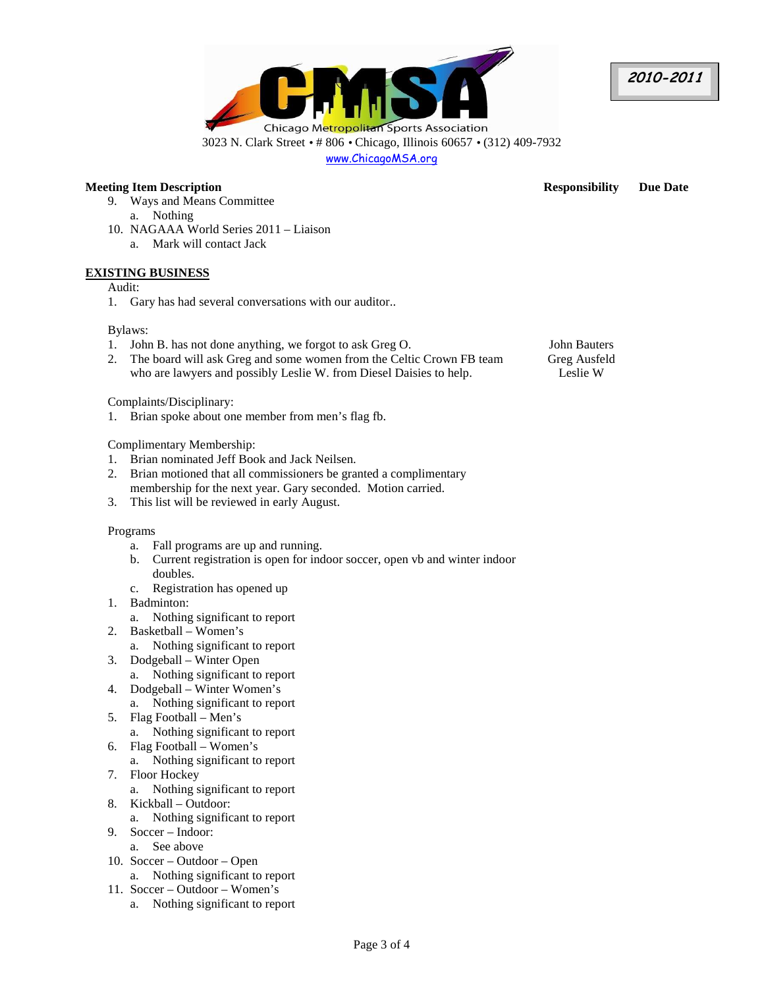**2010-2011** 

Chicago Metropolitan Sports Association 3023 N. Clark Street • # 806 • Chicago, Illinois 60657 • (312) 409-7932

www.ChicagoMSA.org

# **Meeting Item Description Responsibility Due Date**

- 9. Ways and Means Committee a. Nothing
- 10. NAGAAA World Series 2011 Liaison a. Mark will contact Jack

# **EXISTING BUSINESS**

# Audit:

1. Gary has had several conversations with our auditor..

### Bylaws:

- 1. John B. has not done anything, we forgot to ask Greg O.
- 2. The board will ask Greg and some women from the Celtic Crown FB team who are lawyers and possibly Leslie W. from Diesel Daisies to help.

### Complaints/Disciplinary:

1. Brian spoke about one member from men's flag fb.

### Complimentary Membership:

- 1. Brian nominated Jeff Book and Jack Neilsen.
- 2. Brian motioned that all commissioners be granted a complimentary membership for the next year. Gary seconded. Motion carried.
- 3. This list will be reviewed in early August.

#### Programs

- a. Fall programs are up and running.
- b. Current registration is open for indoor soccer, open vb and winter indoor doubles.
- c. Registration has opened up
- 1. Badminton:
	- a. Nothing significant to report
- 2. Basketball Women's
	- a. Nothing significant to report
- 3. Dodgeball Winter Open
- a. Nothing significant to report
- 4. Dodgeball Winter Women's
	- a. Nothing significant to report
- 5. Flag Football Men's
	- a. Nothing significant to report
- 6. Flag Football Women's
- a. Nothing significant to report
- 7. Floor Hockey
	- a. Nothing significant to report
- 8. Kickball Outdoor:
- a. Nothing significant to report
- 9. Soccer Indoor: a. See above
- 10. Soccer Outdoor Open
- a. Nothing significant to report
- 11. Soccer Outdoor Women's
	- a. Nothing significant to report

John Bauters Greg Ausfeld Leslie W